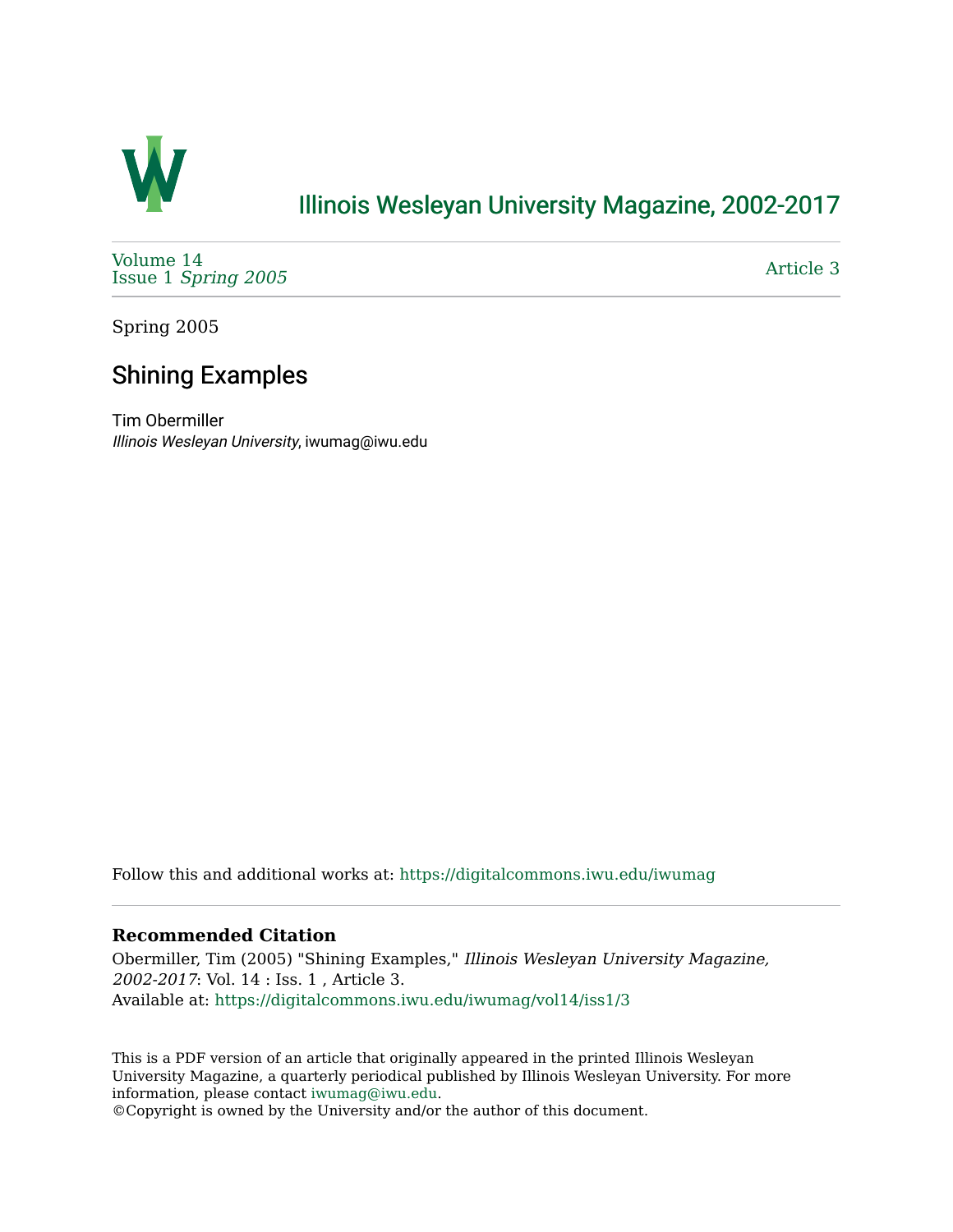

## [Illinois Wesleyan University Magazine, 2002-2017](https://digitalcommons.iwu.edu/iwumag)

[Volume 14](https://digitalcommons.iwu.edu/iwumag/vol14)  Issue 1 [Spring 2005](https://digitalcommons.iwu.edu/iwumag/vol14/iss1)

[Article 3](https://digitalcommons.iwu.edu/iwumag/vol14/iss1/3) 

Spring 2005

# Shining Examples

Tim Obermiller Illinois Wesleyan University, iwumag@iwu.edu

Follow this and additional works at: [https://digitalcommons.iwu.edu/iwumag](https://digitalcommons.iwu.edu/iwumag?utm_source=digitalcommons.iwu.edu%2Fiwumag%2Fvol14%2Fiss1%2F3&utm_medium=PDF&utm_campaign=PDFCoverPages) 

#### **Recommended Citation**

Obermiller, Tim (2005) "Shining Examples," Illinois Wesleyan University Magazine, 2002-2017: Vol. 14 : Iss. 1 , Article 3. Available at: [https://digitalcommons.iwu.edu/iwumag/vol14/iss1/3](https://digitalcommons.iwu.edu/iwumag/vol14/iss1/3?utm_source=digitalcommons.iwu.edu%2Fiwumag%2Fvol14%2Fiss1%2F3&utm_medium=PDF&utm_campaign=PDFCoverPages)

This is a PDF version of an article that originally appeared in the printed Illinois Wesleyan University Magazine, a quarterly periodical published by Illinois Wesleyan University. For more information, please contact [iwumag@iwu.edu](mailto:iwumag@iwu.edu).

©Copyright is owned by the University and/or the author of this document.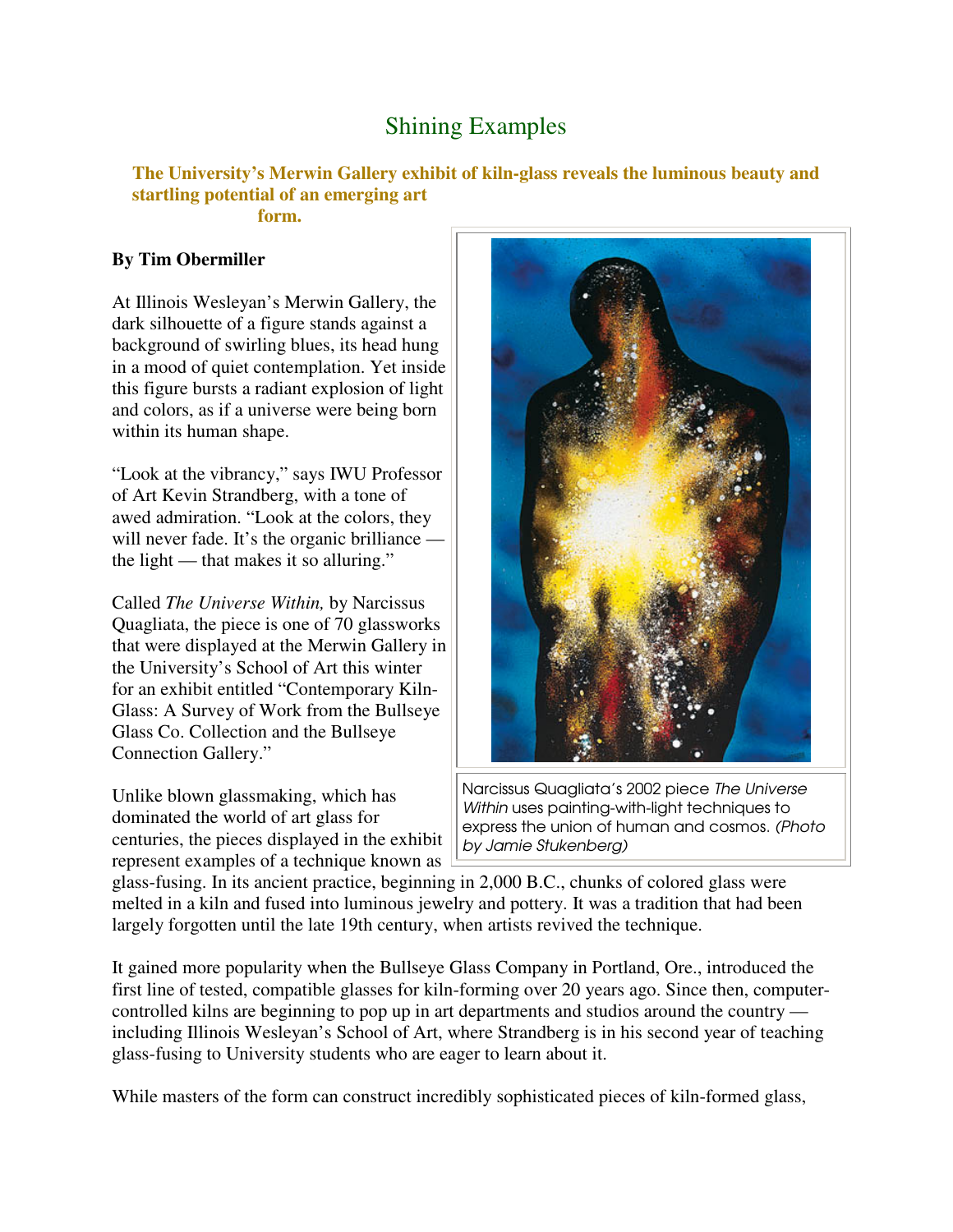# Shining Examples

#### **The University's Merwin Gallery exhibit of kiln-glass reveals the luminous beauty and startling potential of an emerging art form.**

### **By Tim Obermiller**

At Illinois Wesleyan's Merwin Gallery, the dark silhouette of a figure stands against a background of swirling blues, its head hung in a mood of quiet contemplation. Yet inside this figure bursts a radiant explosion of light and colors, as if a universe were being born within its human shape.

"Look at the vibrancy," says IWU Professor of Art Kevin Strandberg, with a tone of awed admiration. "Look at the colors, they will never fade. It's the organic brilliance – the light — that makes it so alluring."

Called *The Universe Within,* by Narcissus Quagliata, the piece is one of 70 glassworks that were displayed at the Merwin Gallery in the University's School of Art this winter for an exhibit entitled "Contemporary Kiln-Glass: A Survey of Work from the Bullseye Glass Co. Collection and the Bullseye Connection Gallery."

Unlike blown glassmaking, which has dominated the world of art glass for centuries, the pieces displayed in the exhibit represent examples of a technique known as



Narcissus Quagliata's 2002 piece The Universe Within uses painting-with-light techniques to express the union of human and cosmos. (Photo by Jamie Stukenberg)

glass-fusing. In its ancient practice, beginning in 2,000 B.C., chunks of colored glass were melted in a kiln and fused into luminous jewelry and pottery. It was a tradition that had been largely forgotten until the late 19th century, when artists revived the technique.

It gained more popularity when the Bullseye Glass Company in Portland, Ore., introduced the first line of tested, compatible glasses for kiln-forming over 20 years ago. Since then, computercontrolled kilns are beginning to pop up in art departments and studios around the country including Illinois Wesleyan's School of Art, where Strandberg is in his second year of teaching glass-fusing to University students who are eager to learn about it.

While masters of the form can construct incredibly sophisticated pieces of kiln-formed glass,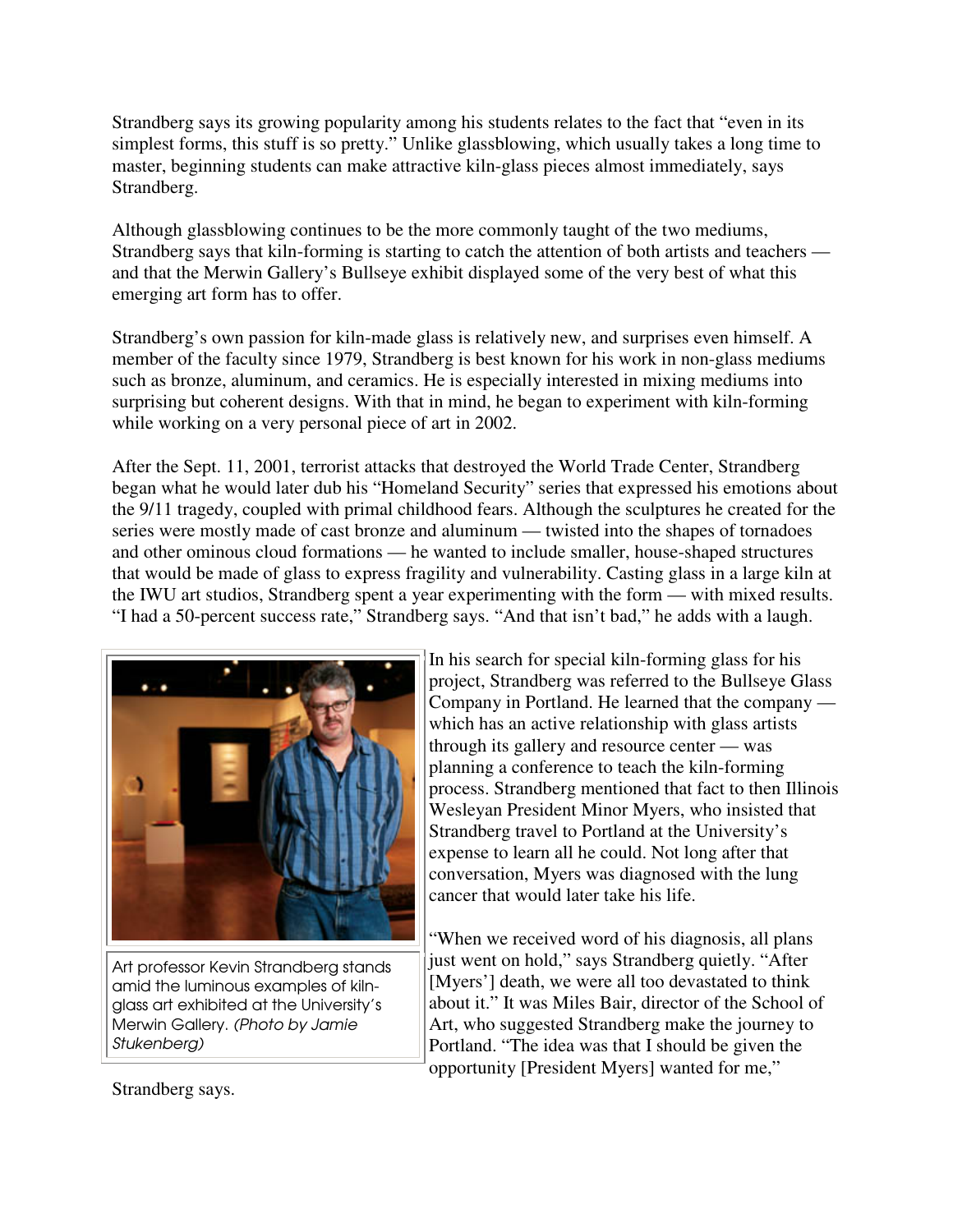Strandberg says its growing popularity among his students relates to the fact that "even in its simplest forms, this stuff is so pretty." Unlike glassblowing, which usually takes a long time to master, beginning students can make attractive kiln-glass pieces almost immediately, says Strandberg.

Although glassblowing continues to be the more commonly taught of the two mediums, Strandberg says that kiln-forming is starting to catch the attention of both artists and teachers and that the Merwin Gallery's Bullseye exhibit displayed some of the very best of what this emerging art form has to offer.

Strandberg's own passion for kiln-made glass is relatively new, and surprises even himself. A member of the faculty since 1979, Strandberg is best known for his work in non-glass mediums such as bronze, aluminum, and ceramics. He is especially interested in mixing mediums into surprising but coherent designs. With that in mind, he began to experiment with kiln-forming while working on a very personal piece of art in 2002.

After the Sept. 11, 2001, terrorist attacks that destroyed the World Trade Center, Strandberg began what he would later dub his "Homeland Security" series that expressed his emotions about the 9/11 tragedy, coupled with primal childhood fears. Although the sculptures he created for the series were mostly made of cast bronze and aluminum — twisted into the shapes of tornadoes and other ominous cloud formations — he wanted to include smaller, house-shaped structures that would be made of glass to express fragility and vulnerability. Casting glass in a large kiln at the IWU art studios, Strandberg spent a year experimenting with the form — with mixed results. "I had a 50-percent success rate," Strandberg says. "And that isn't bad," he adds with a laugh.



Art professor Kevin Strandberg stands amid the luminous examples of kilnglass art exhibited at the University's Merwin Gallery. (Photo by Jamie Stukenberg)

In his search for special kiln-forming glass for his project, Strandberg was referred to the Bullseye Glass Company in Portland. He learned that the company which has an active relationship with glass artists through its gallery and resource center — was planning a conference to teach the kiln-forming process. Strandberg mentioned that fact to then Illinois Wesleyan President Minor Myers, who insisted that Strandberg travel to Portland at the University's expense to learn all he could. Not long after that conversation, Myers was diagnosed with the lung cancer that would later take his life.

"When we received word of his diagnosis, all plans just went on hold," says Strandberg quietly. "After [Myers'] death, we were all too devastated to think about it." It was Miles Bair, director of the School of Art, who suggested Strandberg make the journey to Portland. "The idea was that I should be given the opportunity [President Myers] wanted for me,"

Strandberg says.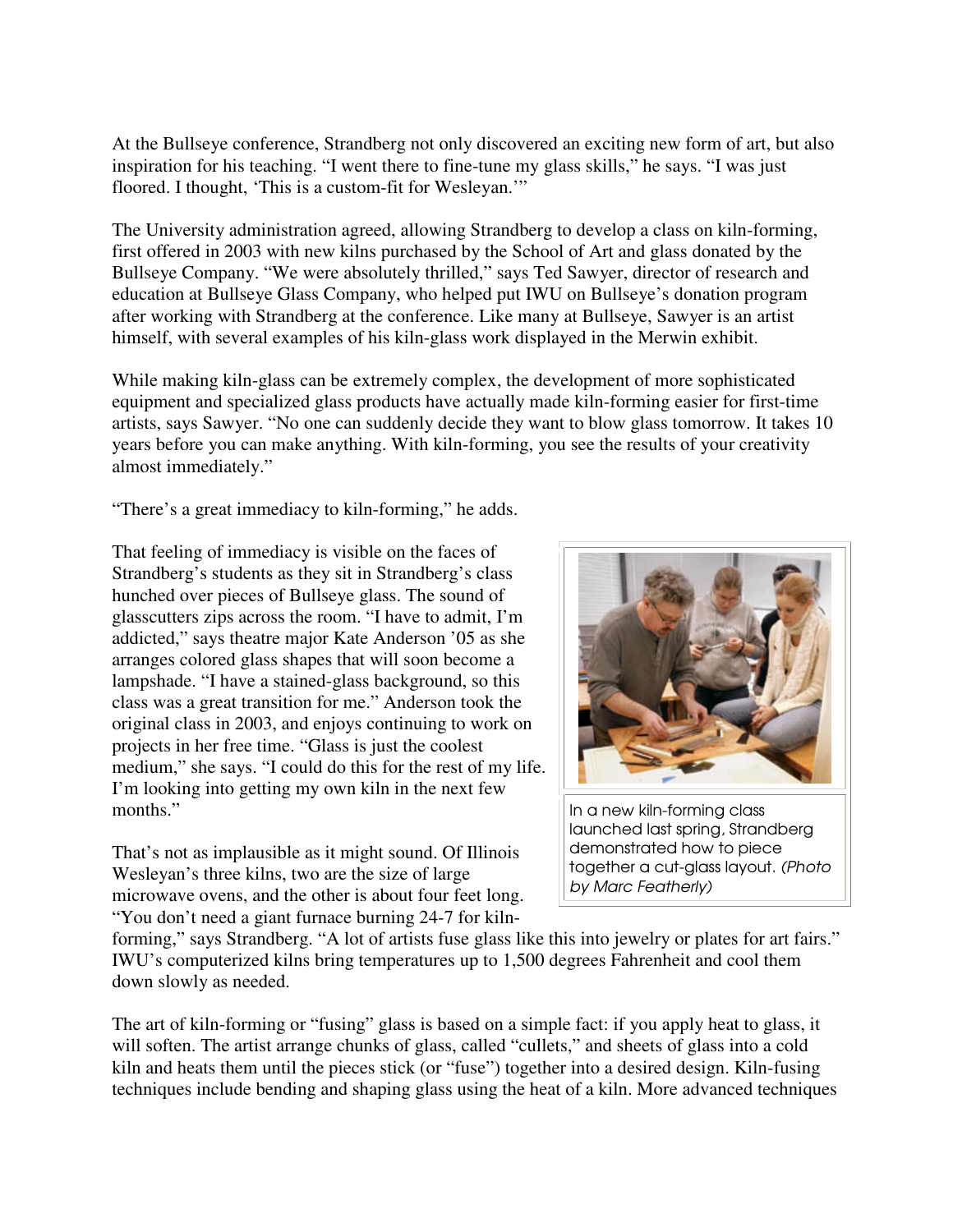At the Bullseye conference, Strandberg not only discovered an exciting new form of art, but also inspiration for his teaching. "I went there to fine-tune my glass skills," he says. "I was just floored. I thought, 'This is a custom-fit for Wesleyan.'"

The University administration agreed, allowing Strandberg to develop a class on kiln-forming, first offered in 2003 with new kilns purchased by the School of Art and glass donated by the Bullseye Company. "We were absolutely thrilled," says Ted Sawyer, director of research and education at Bullseye Glass Company, who helped put IWU on Bullseye's donation program after working with Strandberg at the conference. Like many at Bullseye, Sawyer is an artist himself, with several examples of his kiln-glass work displayed in the Merwin exhibit.

While making kiln-glass can be extremely complex, the development of more sophisticated equipment and specialized glass products have actually made kiln-forming easier for first-time artists, says Sawyer. "No one can suddenly decide they want to blow glass tomorrow. It takes 10 years before you can make anything. With kiln-forming, you see the results of your creativity almost immediately."

"There's a great immediacy to kiln-forming," he adds.

That feeling of immediacy is visible on the faces of Strandberg's students as they sit in Strandberg's class hunched over pieces of Bullseye glass. The sound of glasscutters zips across the room. "I have to admit, I'm addicted," says theatre major Kate Anderson '05 as she arranges colored glass shapes that will soon become a lampshade. "I have a stained-glass background, so this class was a great transition for me." Anderson took the original class in 2003, and enjoys continuing to work on projects in her free time. "Glass is just the coolest medium," she says. "I could do this for the rest of my life. I'm looking into getting my own kiln in the next few months."

That's not as implausible as it might sound. Of Illinois Wesleyan's three kilns, two are the size of large microwave ovens, and the other is about four feet long. "You don't need a giant furnace burning 24-7 for kiln-



In a new kiln-forming class launched last spring, Strandberg demonstrated how to piece together a cut-glass layout. (Photo by Marc Featherly)

forming," says Strandberg. "A lot of artists fuse glass like this into jewelry or plates for art fairs." IWU's computerized kilns bring temperatures up to 1,500 degrees Fahrenheit and cool them down slowly as needed.

The art of kiln-forming or "fusing" glass is based on a simple fact: if you apply heat to glass, it will soften. The artist arrange chunks of glass, called "cullets," and sheets of glass into a cold kiln and heats them until the pieces stick (or "fuse") together into a desired design. Kiln-fusing techniques include bending and shaping glass using the heat of a kiln. More advanced techniques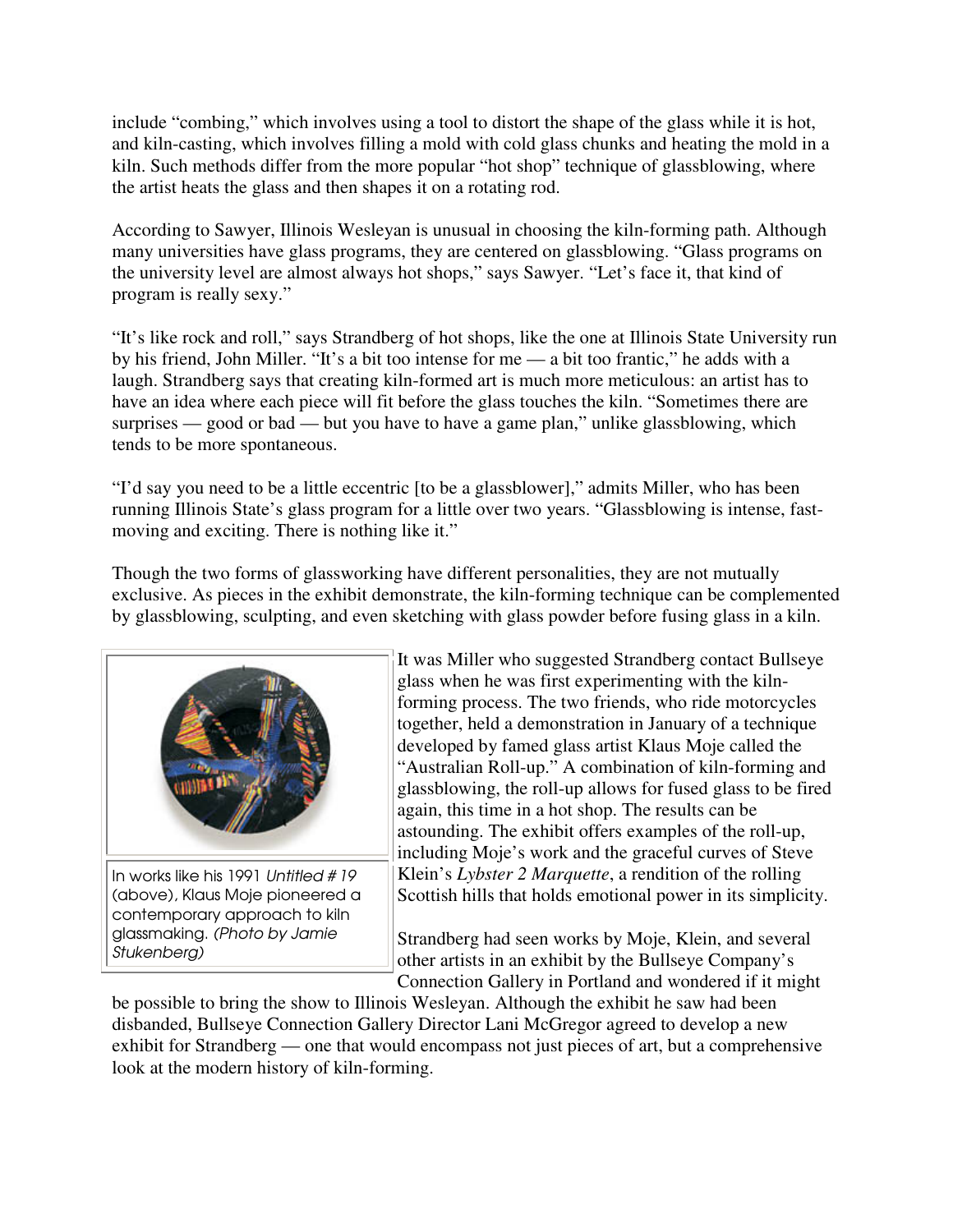include "combing," which involves using a tool to distort the shape of the glass while it is hot, and kiln-casting, which involves filling a mold with cold glass chunks and heating the mold in a kiln. Such methods differ from the more popular "hot shop" technique of glassblowing, where the artist heats the glass and then shapes it on a rotating rod.

According to Sawyer, Illinois Wesleyan is unusual in choosing the kiln-forming path. Although many universities have glass programs, they are centered on glassblowing. "Glass programs on the university level are almost always hot shops," says Sawyer. "Let's face it, that kind of program is really sexy."

"It's like rock and roll," says Strandberg of hot shops, like the one at Illinois State University run by his friend, John Miller. "It's a bit too intense for me — a bit too frantic," he adds with a laugh. Strandberg says that creating kiln-formed art is much more meticulous: an artist has to have an idea where each piece will fit before the glass touches the kiln. "Sometimes there are surprises — good or bad — but you have to have a game plan," unlike glassblowing, which tends to be more spontaneous.

"I'd say you need to be a little eccentric [to be a glassblower]," admits Miller, who has been running Illinois State's glass program for a little over two years. "Glassblowing is intense, fastmoving and exciting. There is nothing like it."

Though the two forms of glassworking have different personalities, they are not mutually exclusive. As pieces in the exhibit demonstrate, the kiln-forming technique can be complemented by glassblowing, sculpting, and even sketching with glass powder before fusing glass in a kiln.



(above), Klaus Moje pioneered a contemporary approach to kiln glassmaking. (Photo by Jamie Stukenberg)

It was Miller who suggested Strandberg contact Bullseye glass when he was first experimenting with the kilnforming process. The two friends, who ride motorcycles together, held a demonstration in January of a technique developed by famed glass artist Klaus Moje called the "Australian Roll-up." A combination of kiln-forming and glassblowing, the roll-up allows for fused glass to be fired again, this time in a hot shop. The results can be astounding. The exhibit offers examples of the roll-up, including Moje's work and the graceful curves of Steve Klein's *Lybster 2 Marquette*, a rendition of the rolling Scottish hills that holds emotional power in its simplicity.

Strandberg had seen works by Moje, Klein, and several other artists in an exhibit by the Bullseye Company's Connection Gallery in Portland and wondered if it might

be possible to bring the show to Illinois Wesleyan. Although the exhibit he saw had been disbanded, Bullseye Connection Gallery Director Lani McGregor agreed to develop a new exhibit for Strandberg — one that would encompass not just pieces of art, but a comprehensive look at the modern history of kiln-forming.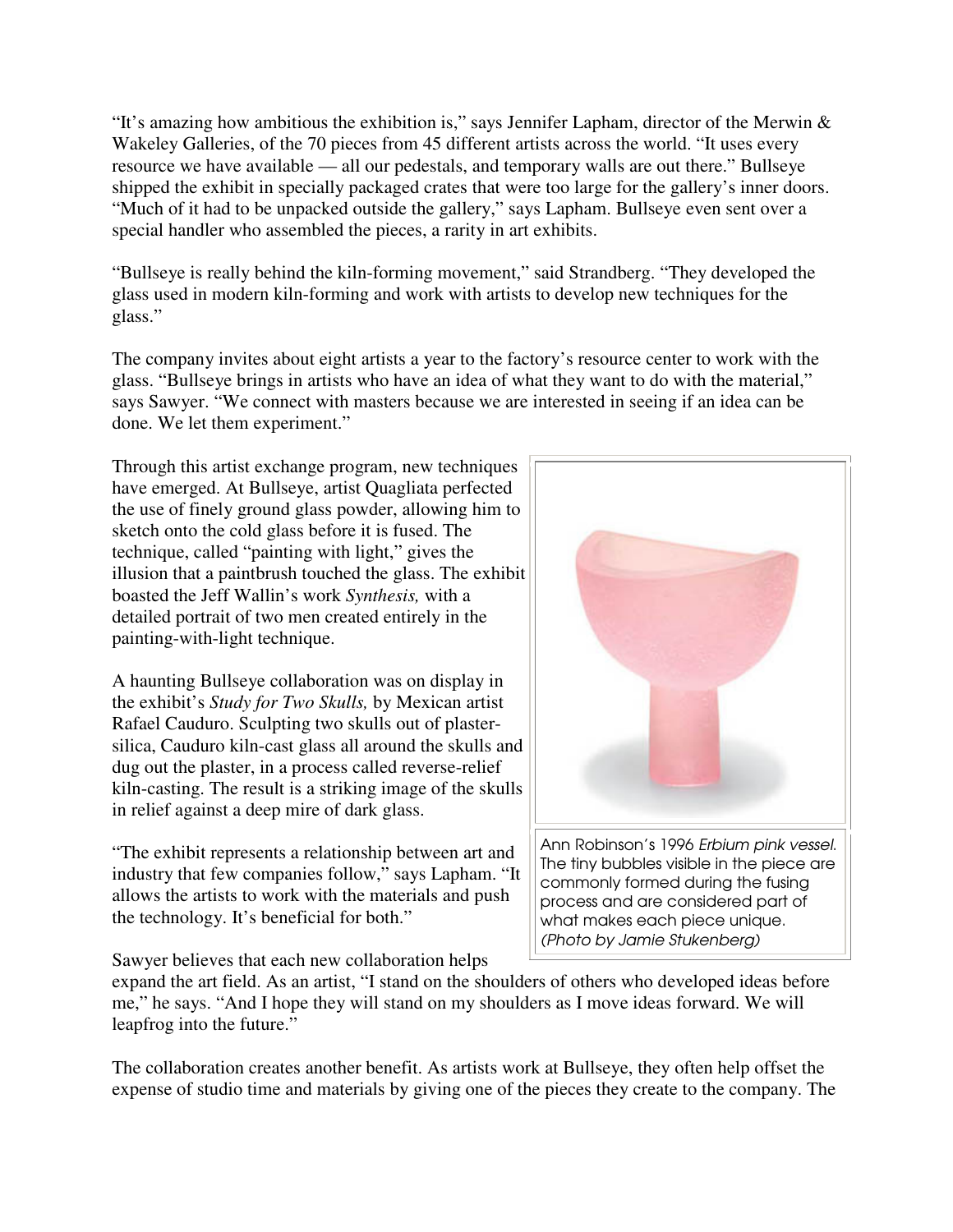"It's amazing how ambitious the exhibition is," says Jennifer Lapham, director of the Merwin & Wakeley Galleries, of the 70 pieces from 45 different artists across the world. "It uses every resource we have available — all our pedestals, and temporary walls are out there." Bullseye shipped the exhibit in specially packaged crates that were too large for the gallery's inner doors. "Much of it had to be unpacked outside the gallery," says Lapham. Bullseye even sent over a special handler who assembled the pieces, a rarity in art exhibits.

"Bullseye is really behind the kiln-forming movement," said Strandberg. "They developed the glass used in modern kiln-forming and work with artists to develop new techniques for the glass."

The company invites about eight artists a year to the factory's resource center to work with the glass. "Bullseye brings in artists who have an idea of what they want to do with the material," says Sawyer. "We connect with masters because we are interested in seeing if an idea can be done. We let them experiment."

Through this artist exchange program, new techniques have emerged. At Bullseye, artist Quagliata perfected the use of finely ground glass powder, allowing him to sketch onto the cold glass before it is fused. The technique, called "painting with light," gives the illusion that a paintbrush touched the glass. The exhibit boasted the Jeff Wallin's work *Synthesis,* with a detailed portrait of two men created entirely in the painting-with-light technique.

A haunting Bullseye collaboration was on display in the exhibit's *Study for Two Skulls,* by Mexican artist Rafael Cauduro. Sculpting two skulls out of plastersilica, Cauduro kiln-cast glass all around the skulls and dug out the plaster, in a process called reverse-relief kiln-casting. The result is a striking image of the skulls in relief against a deep mire of dark glass.

"The exhibit represents a relationship between art and industry that few companies follow," says Lapham. "It allows the artists to work with the materials and push the technology. It's beneficial for both."

Sawyer believes that each new collaboration helps

expand the art field. As an artist, "I stand on the shoulders of others who developed ideas before me," he says. "And I hope they will stand on my shoulders as I move ideas forward. We will leapfrog into the future."

The collaboration creates another benefit. As artists work at Bullseye, they often help offset the expense of studio time and materials by giving one of the pieces they create to the company. The



process and are considered part of what makes each piece unique. (Photo by Jamie Stukenberg)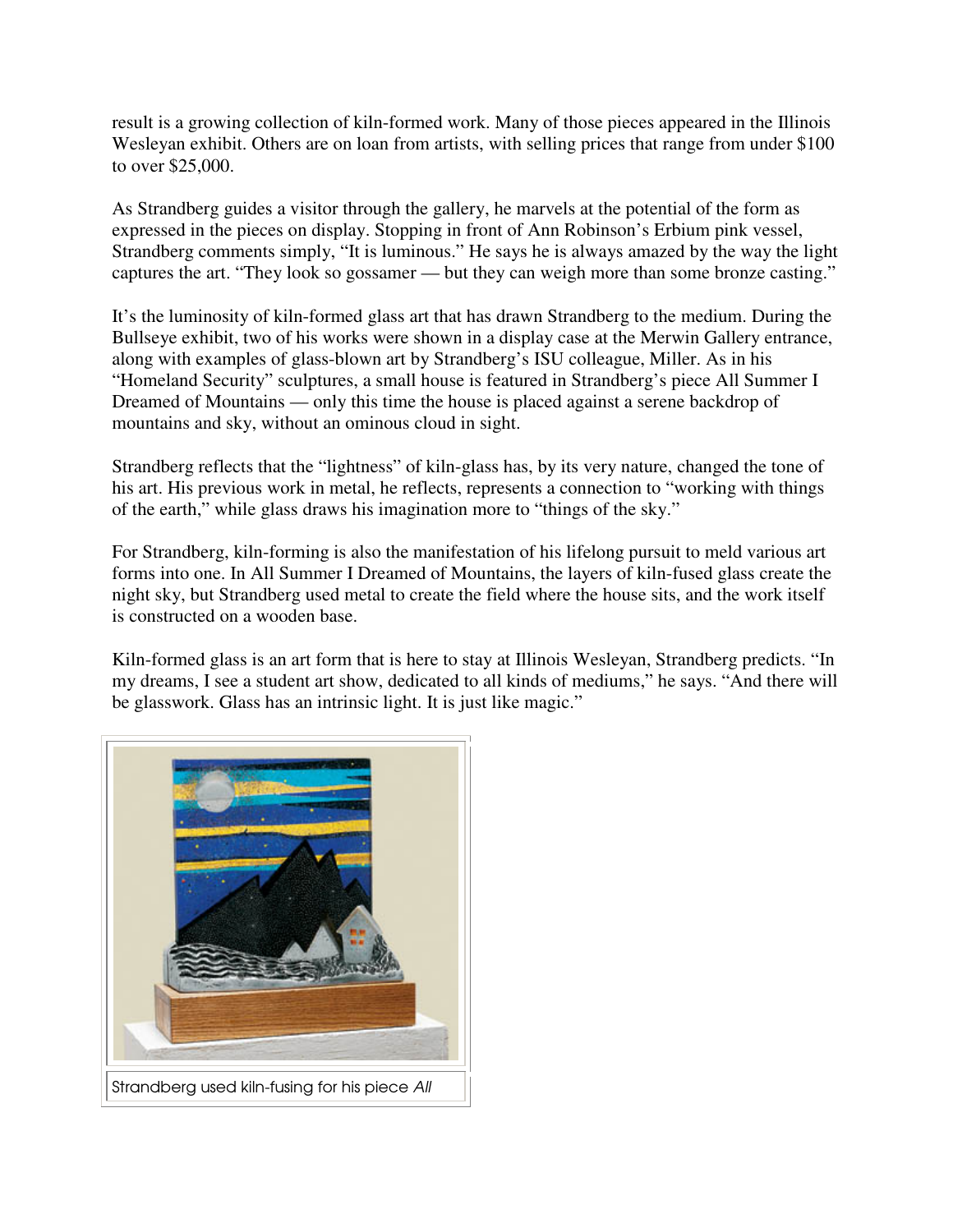result is a growing collection of kiln-formed work. Many of those pieces appeared in the Illinois Wesleyan exhibit. Others are on loan from artists, with selling prices that range from under \$100 to over \$25,000.

As Strandberg guides a visitor through the gallery, he marvels at the potential of the form as expressed in the pieces on display. Stopping in front of Ann Robinson's Erbium pink vessel, Strandberg comments simply, "It is luminous." He says he is always amazed by the way the light captures the art. "They look so gossamer — but they can weigh more than some bronze casting."

It's the luminosity of kiln-formed glass art that has drawn Strandberg to the medium. During the Bullseye exhibit, two of his works were shown in a display case at the Merwin Gallery entrance, along with examples of glass-blown art by Strandberg's ISU colleague, Miller. As in his "Homeland Security" sculptures, a small house is featured in Strandberg's piece All Summer I Dreamed of Mountains — only this time the house is placed against a serene backdrop of mountains and sky, without an ominous cloud in sight.

Strandberg reflects that the "lightness" of kiln-glass has, by its very nature, changed the tone of his art. His previous work in metal, he reflects, represents a connection to "working with things of the earth," while glass draws his imagination more to "things of the sky."

For Strandberg, kiln-forming is also the manifestation of his lifelong pursuit to meld various art forms into one. In All Summer I Dreamed of Mountains, the layers of kiln-fused glass create the night sky, but Strandberg used metal to create the field where the house sits, and the work itself is constructed on a wooden base.

Kiln-formed glass is an art form that is here to stay at Illinois Wesleyan, Strandberg predicts. "In my dreams, I see a student art show, dedicated to all kinds of mediums," he says. "And there will be glasswork. Glass has an intrinsic light. It is just like magic."